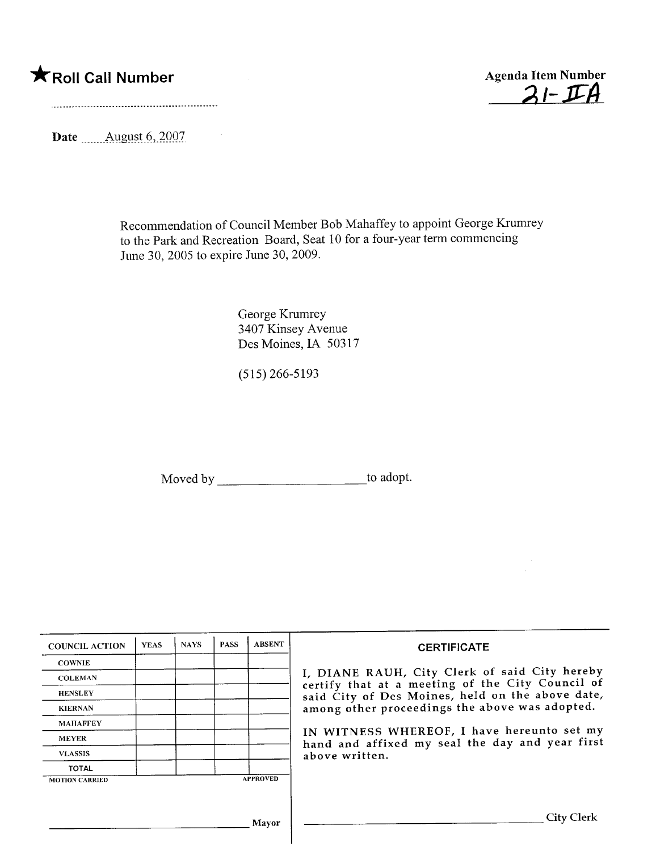## \*Roll Call Number Agenda Item Number



Date  $\frac{\text{August } 6, 2007}{\text{August } 6, 2007}$ 

 $\sim 10^{11}$  km  $^{-1}$ 

Recommendation of Council Member Bob Mahaffey to appoint George Krumrey to the Park and Recreation Board, Seat 10 for a four-year term commencing June 30, 2005 to expire June 30, 2009.

> George Krumrey 3407 Kinsey Avenue Des Moines, IA 50317

(515) 266-5193

Moved by \_\_\_\_\_\_\_\_\_\_\_\_\_\_\_\_\_\_\_\_\_\_\_\_\_\_\_\_\_\_\_\_\_to adopt.

| <b>COUNCIL ACTION</b> | <b>YEAS</b> | <b>NAYS</b> | <b>PASS</b> | <b>ABSENT</b>   | <b>CERTIFICATE</b>                                                                                |  |
|-----------------------|-------------|-------------|-------------|-----------------|---------------------------------------------------------------------------------------------------|--|
| <b>COWNIE</b>         |             |             |             |                 |                                                                                                   |  |
| <b>COLEMAN</b>        |             |             |             |                 | I, DIANE RAUH, City Clerk of said City hereby<br>certify that at a meeting of the City Council of |  |
| <b>HENSLEY</b>        |             |             |             |                 | said City of Des Moines, held on the above date,                                                  |  |
| <b>KIERNAN</b>        |             |             |             |                 | among other proceedings the above was adopted.                                                    |  |
| <b>MAHAFFEY</b>       |             |             |             |                 |                                                                                                   |  |
| <b>MEYER</b>          |             |             |             |                 | IN WITNESS WHEREOF, I have hereunto set my<br>hand and affixed my seal the day and year first     |  |
| <b>VLASSIS</b>        |             |             |             |                 | above written.                                                                                    |  |
| <b>TOTAL</b>          |             |             |             |                 |                                                                                                   |  |
| <b>MOTION CARRIED</b> |             |             |             | <b>APPROVED</b> |                                                                                                   |  |
|                       |             |             |             |                 |                                                                                                   |  |
|                       |             |             |             | Mayor           | <b>City Clerk</b>                                                                                 |  |
|                       |             |             |             |                 |                                                                                                   |  |